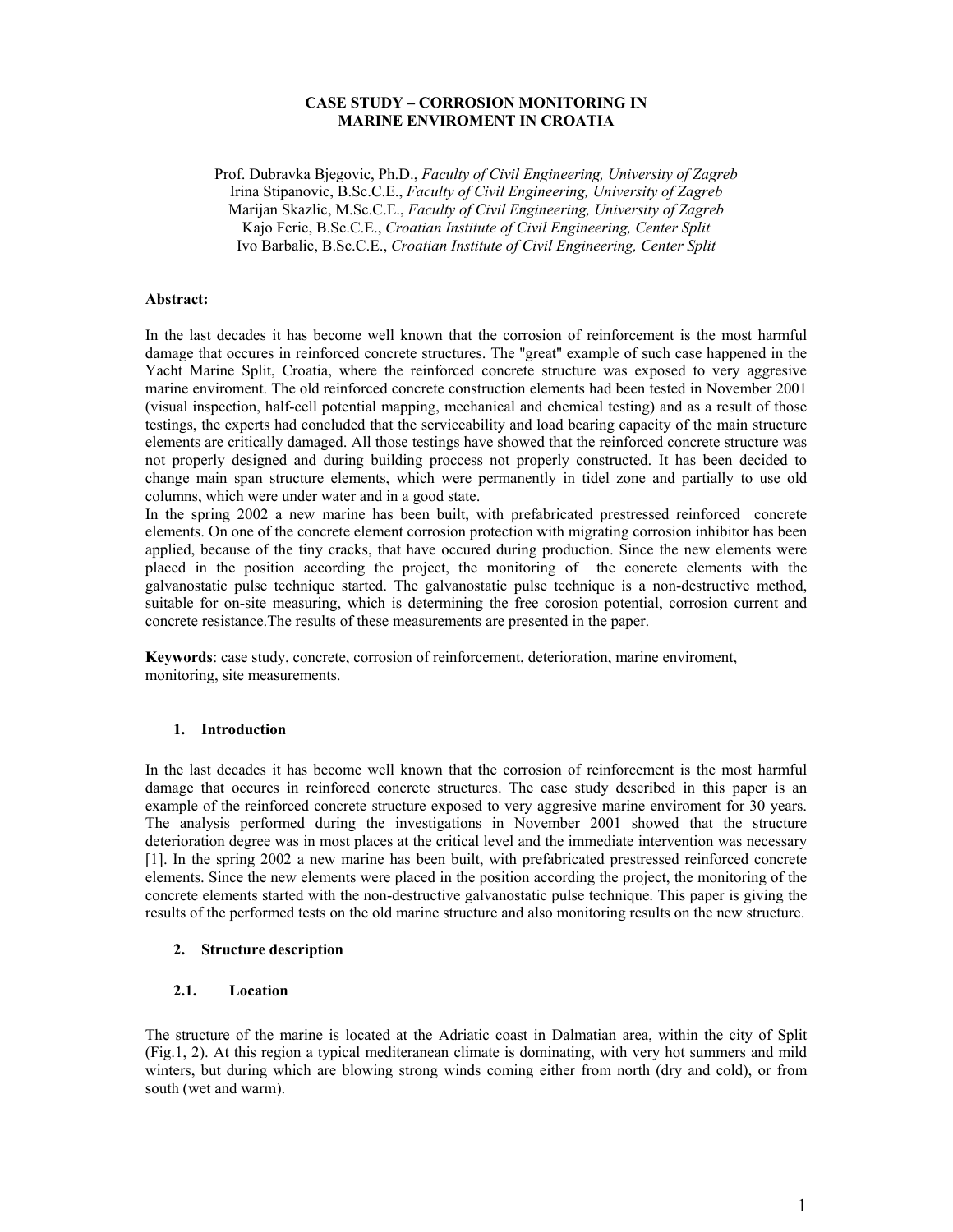## **CASE STUDY – CORROSION MONITORING IN MARINE ENVIROMENT IN CROATIA**

Prof. Dubravka Bjegovic, Ph.D., *Faculty of Civil Engineering, University of Zagreb* Irina Stipanovic, B.Sc.C.E., *Faculty of Civil Engineering, University of Zagreb* Marijan Skazlic, M.Sc.C.E., *Faculty of Civil Engineering, University of Zagreb* Kajo Feric, B.Sc.C.E., *Croatian Institute of Civil Engineering, Center Split* Ivo Barbalic, B.Sc.C.E., *Croatian Institute of Civil Engineering, Center Split*

#### **Abstract:**

In the last decades it has become well known that the corrosion of reinforcement is the most harmful damage that occures in reinforced concrete structures. The ''great'' example of such case happened in the Yacht Marine Split, Croatia, where the reinforced concrete structure was exposed to very aggresive marine enviroment. The old reinforced concrete construction elements had been tested in November 2001 (visual inspection, half-cell potential mapping, mechanical and chemical testing) and as a result of those testings, the experts had concluded that the serviceability and load bearing capacity of the main structure elements are critically damaged. All those testings have showed that the reinforced concrete structure was not properly designed and during building proccess not properly constructed. It has been decided to change main span structure elements, which were permanently in tidel zone and partially to use old columns, which were under water and in a good state.

In the spring 2002 a new marine has been built, with prefabricated prestressed reinforced concrete elements. On one of the concrete element corrosion protection with migrating corrosion inhibitor has been applied, because of the tiny cracks, that have occured during production. Since the new elements were placed in the position according the project, the monitoring of the concrete elements with the galvanostatic pulse technique started. The galvanostatic pulse technique is a non-destructive method, suitable for on-site measuring, which is determining the free corosion potential, corrosion current and concrete resistance.The results of these measurements are presented in the paper.

**Keywords**: case study, concrete, corrosion of reinforcement, deterioration, marine enviroment, monitoring, site measurements.

### **1. Introduction**

In the last decades it has become well known that the corrosion of reinforcement is the most harmful damage that occures in reinforced concrete structures. The case study described in this paper is an example of the reinforced concrete structure exposed to very aggresive marine enviroment for 30 years. The analysis performed during the investigations in November 2001 showed that the structure deterioration degree was in most places at the critical level and the immediate intervention was necessary [1]. In the spring 2002 a new marine has been built, with prefabricated prestressed reinforced concrete elements. Since the new elements were placed in the position according the project, the monitoring of the concrete elements started with the non-destructive galvanostatic pulse technique. This paper is giving the results of the performed tests on the old marine structure and also monitoring results on the new structure.

### **2. Structure description**

### **2.1. Location**

The structure of the marine is located at the Adriatic coast in Dalmatian area, within the city of Split (Fig.1, 2). At this region a typical mediteranean climate is dominating, with very hot summers and mild winters, but during which are blowing strong winds coming either from north (dry and cold), or from south (wet and warm).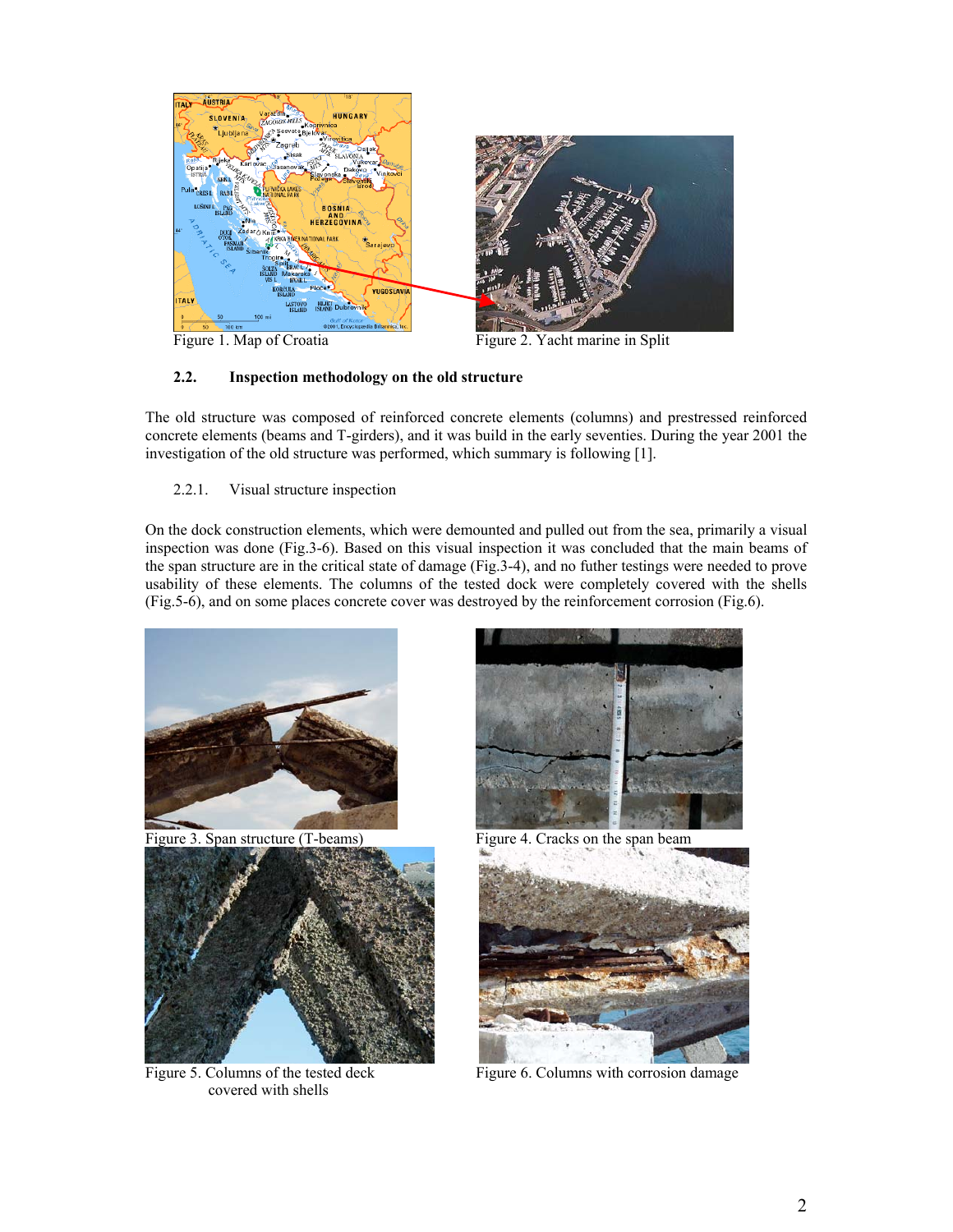

Figure 1. Map of Croatia Figure 2. Yacht marine in Split

# **2.2. Inspection methodology on the old structure**

The old structure was composed of reinforced concrete elements (columns) and prestressed reinforced concrete elements (beams and T-girders), and it was build in the early seventies. During the year 2001 the investigation of the old structure was performed, which summary is following [1].

2.2.1. Visual structure inspection

On the dock construction elements, which were demounted and pulled out from the sea, primarily a visual inspection was done (Fig.3-6). Based on this visual inspection it was concluded that the main beams of the span structure are in the critical state of damage (Fig.3-4), and no futher testings were needed to prove usability of these elements. The columns of the tested dock were completely covered with the shells (Fig.5-6), and on some places concrete cover was destroyed by the reinforcement corrosion (Fig.6).



Figure 3. Span structure (T-beams) Figure 4. Cracks on the span beam



covered with shells





Figure 5. Columns of the tested deck Figure 6. Columns with corrosion damage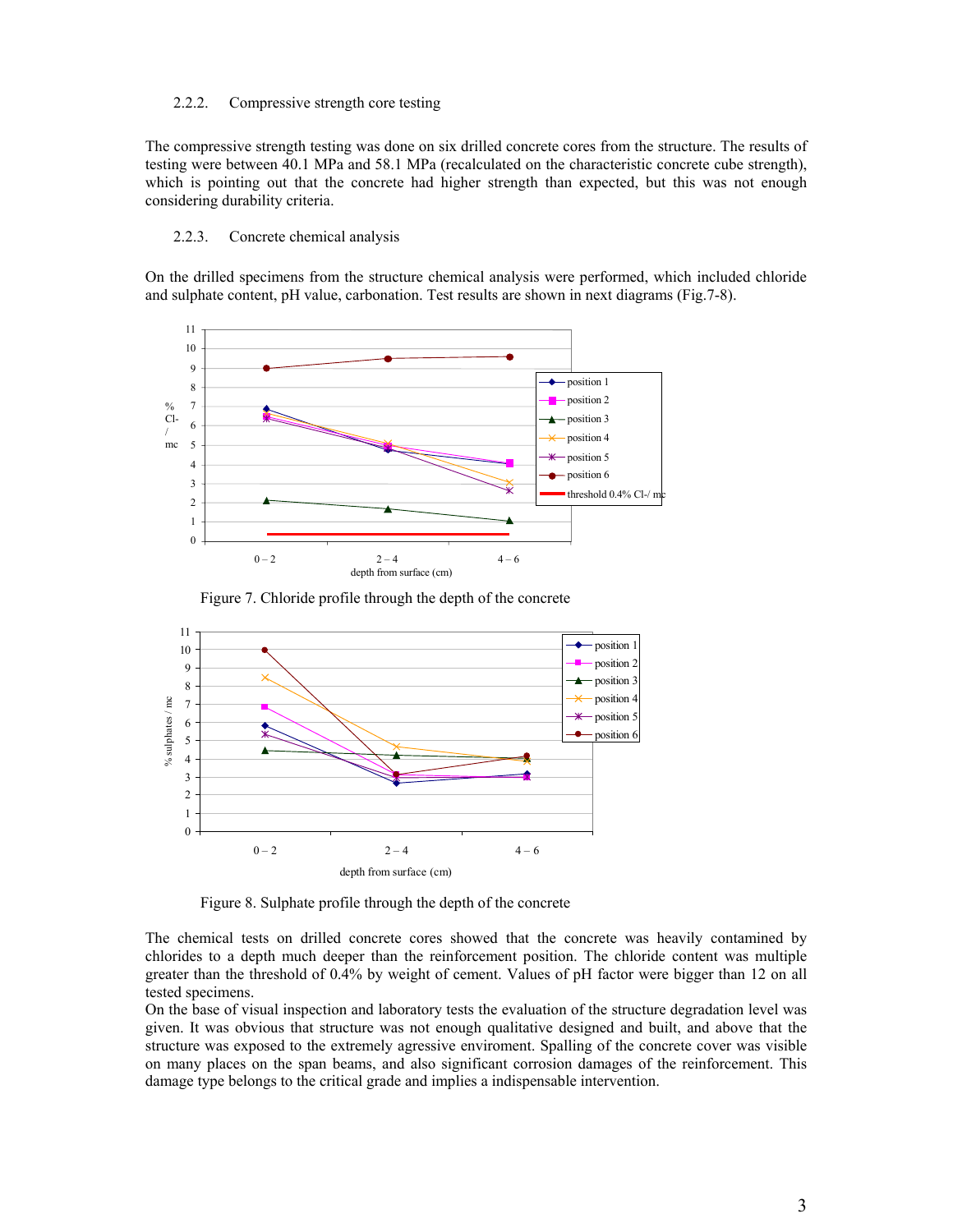#### 2.2.2. Compressive strength core testing

The compressive strength testing was done on six drilled concrete cores from the structure. The results of testing were between 40.1 MPa and 58.1 MPa (recalculated on the characteristic concrete cube strength), which is pointing out that the concrete had higher strength than expected, but this was not enough considering durability criteria.

#### 2.2.3. Concrete chemical analysis

On the drilled specimens from the structure chemical analysis were performed, which included chloride and sulphate content, pH value, carbonation. Test results are shown in next diagrams (Fig.7-8).



Figure 7. Chloride profile through the depth of the concrete



Figure 8. Sulphate profile through the depth of the concrete

The chemical tests on drilled concrete cores showed that the concrete was heavily contamined by chlorides to a depth much deeper than the reinforcement position. The chloride content was multiple greater than the threshold of 0.4% by weight of cement. Values of pH factor were bigger than 12 on all tested specimens.

On the base of visual inspection and laboratory tests the evaluation of the structure degradation level was given. It was obvious that structure was not enough qualitative designed and built, and above that the structure was exposed to the extremely agressive enviroment. Spalling of the concrete cover was visible on many places on the span beams, and also significant corrosion damages of the reinforcement. This damage type belongs to the critical grade and implies a indispensable intervention.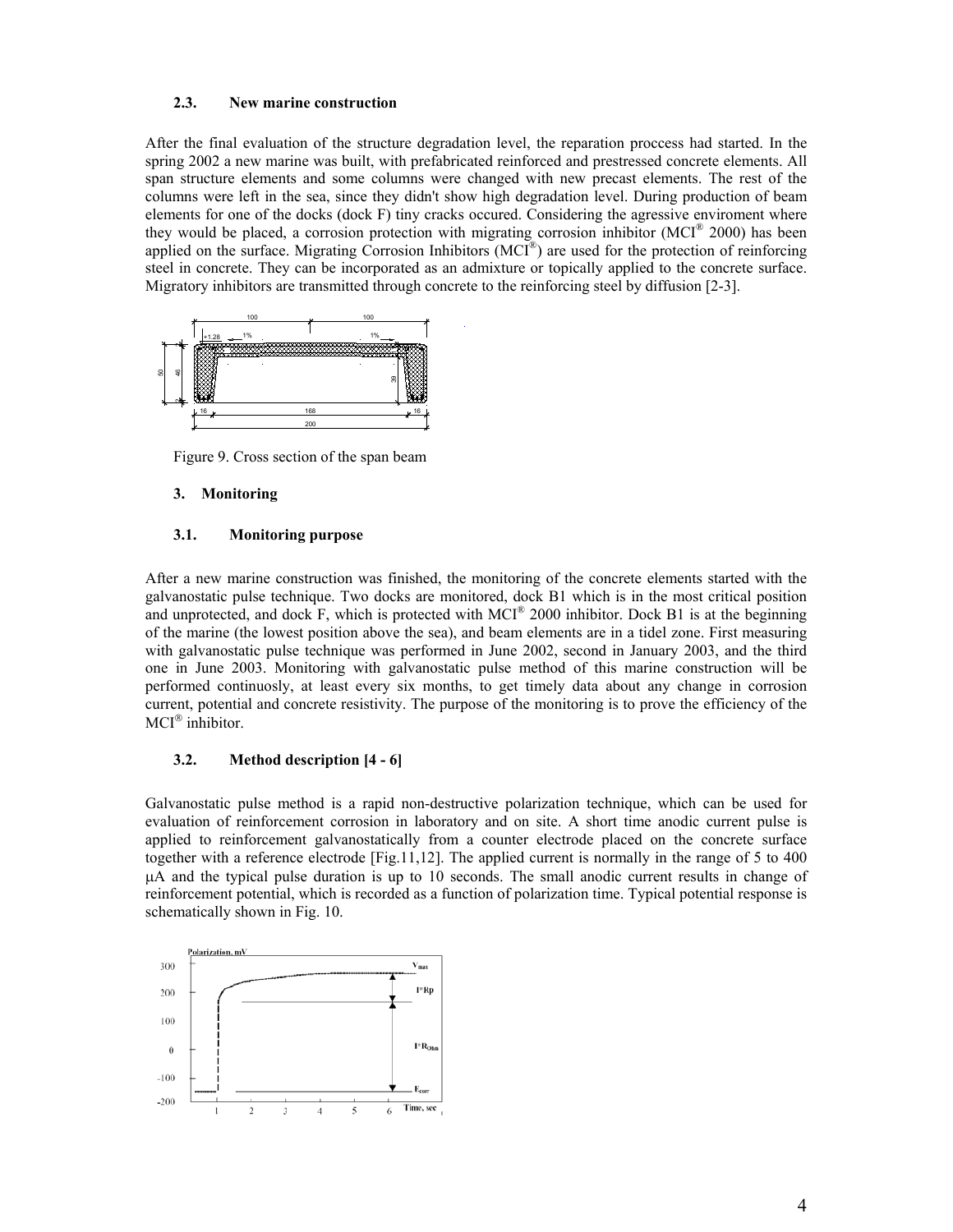### **2.3. New marine construction**

After the final evaluation of the structure degradation level, the reparation proccess had started. In the spring 2002 a new marine was built, with prefabricated reinforced and prestressed concrete elements. All span structure elements and some columns were changed with new precast elements. The rest of the columns were left in the sea, since they didn't show high degradation level. During production of beam elements for one of the docks (dock F) tiny cracks occured. Considering the agressive enviroment where they would be placed, a corrosion protection with migrating corrosion inhibitor (MCI® 2000) has been applied on the surface. Migrating Corrosion Inhibitors  $(MCl<sup>®</sup>)$  are used for the protection of reinforcing steel in concrete. They can be incorporated as an admixture or topically applied to the concrete surface. Migratory inhibitors are transmitted through concrete to the reinforcing steel by diffusion [2-3].



Figure 9. Cross section of the span beam

### **3. Monitoring**

### **3.1. Monitoring purpose**

After a new marine construction was finished, the monitoring of the concrete elements started with the galvanostatic pulse technique. Two docks are monitored, dock B1 which is in the most critical position and unprotected, and dock F, which is protected with MCI<sup>®</sup> 2000 inhibitor. Dock B1 is at the beginning of the marine (the lowest position above the sea), and beam elements are in a tidel zone. First measuring with galvanostatic pulse technique was performed in June 2002, second in January 2003, and the third one in June 2003. Monitoring with galvanostatic pulse method of this marine construction will be performed continuosly, at least every six months, to get timely data about any change in corrosion current, potential and concrete resistivity. The purpose of the monitoring is to prove the efficiency of the  $MCI^{\circledast}$  inhibitor.

### **3.2. Method description [4 - 6]**

Galvanostatic pulse method is a rapid non-destructive polarization technique, which can be used for evaluation of reinforcement corrosion in laboratory and on site. A short time anodic current pulse is applied to reinforcement galvanostatically from a counter electrode placed on the concrete surface together with a reference electrode [Fig.11,12]. The applied current is normally in the range of 5 to 400 µA and the typical pulse duration is up to 10 seconds. The small anodic current results in change of reinforcement potential, which is recorded as a function of polarization time. Typical potential response is schematically shown in Fig. 10.

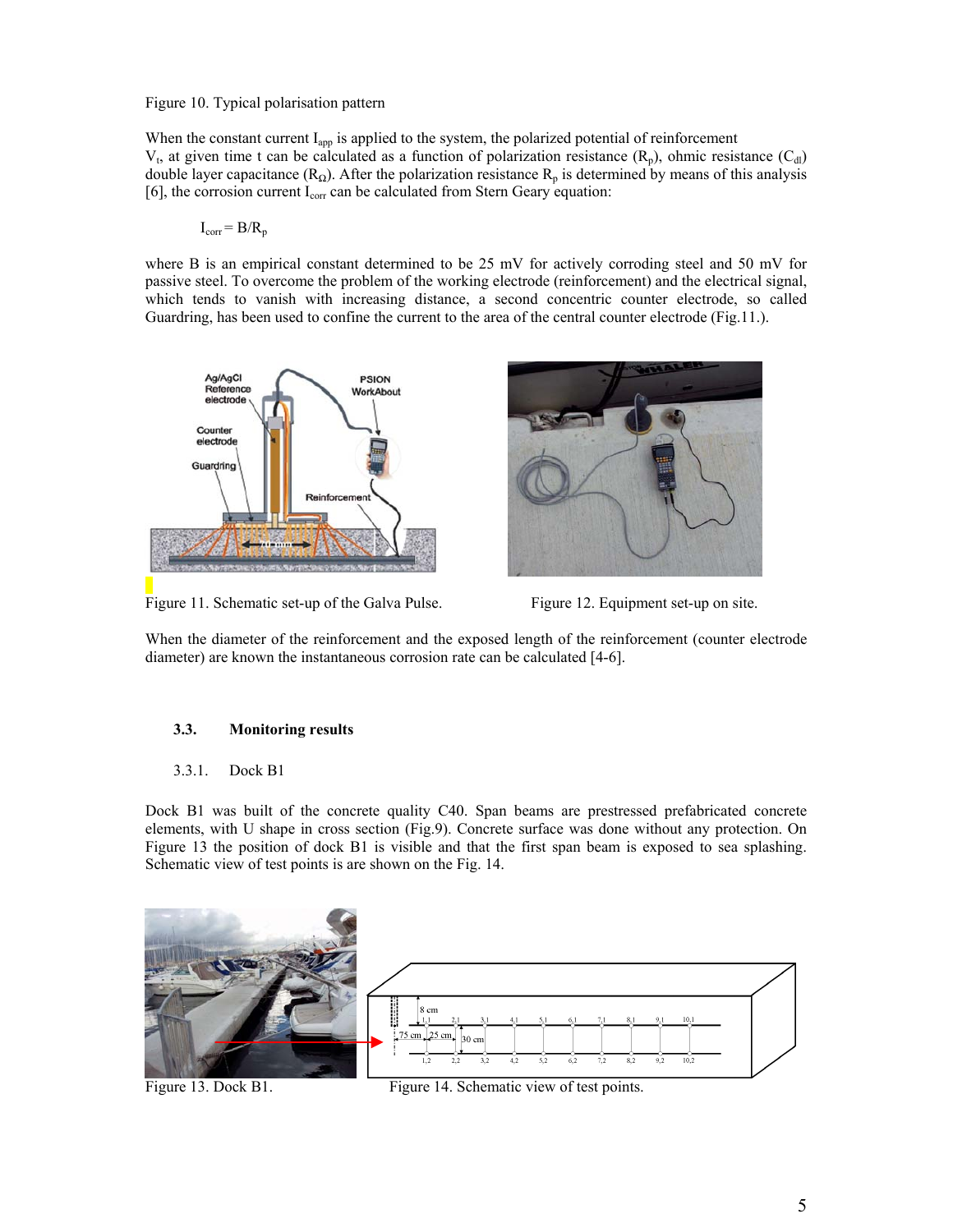### Figure 10. Typical polarisation pattern

When the constant current  $I_{app}$  is applied to the system, the polarized potential of reinforcement  $V_t$ , at given time t can be calculated as a function of polarization resistance (R<sub>p</sub>), ohmic resistance (C<sub>dl</sub>) double layer capacitance ( $R_{\Omega}$ ). After the polarization resistance  $R_p$  is determined by means of this analysis [6], the corrosion current  $I_{\text{corr}}$  can be calculated from Stern Geary equation:

$$
I_{corr} = B/R_p
$$

where B is an empirical constant determined to be 25 mV for actively corroding steel and 50 mV for passive steel. To overcome the problem of the working electrode (reinforcement) and the electrical signal, which tends to vanish with increasing distance, a second concentric counter electrode, so called Guardring, has been used to confine the current to the area of the central counter electrode (Fig.11.).



Figure 11. Schematic set-up of the Galva Pulse. Figure 12. Equipment set-up on site.

When the diameter of the reinforcement and the exposed length of the reinforcement (counter electrode diameter) are known the instantaneous corrosion rate can be calculated [4-6].

# **3.3. Monitoring results**

## 3.3.1. Dock B1

Dock B1 was built of the concrete quality C40. Span beams are prestressed prefabricated concrete elements, with U shape in cross section (Fig.9). Concrete surface was done without any protection. On Figure 13 the position of dock B1 is visible and that the first span beam is exposed to sea splashing. Schematic view of test points is are shown on the Fig. 14.



Figure 13. Dock B1. Figure 14. Schematic view of test points.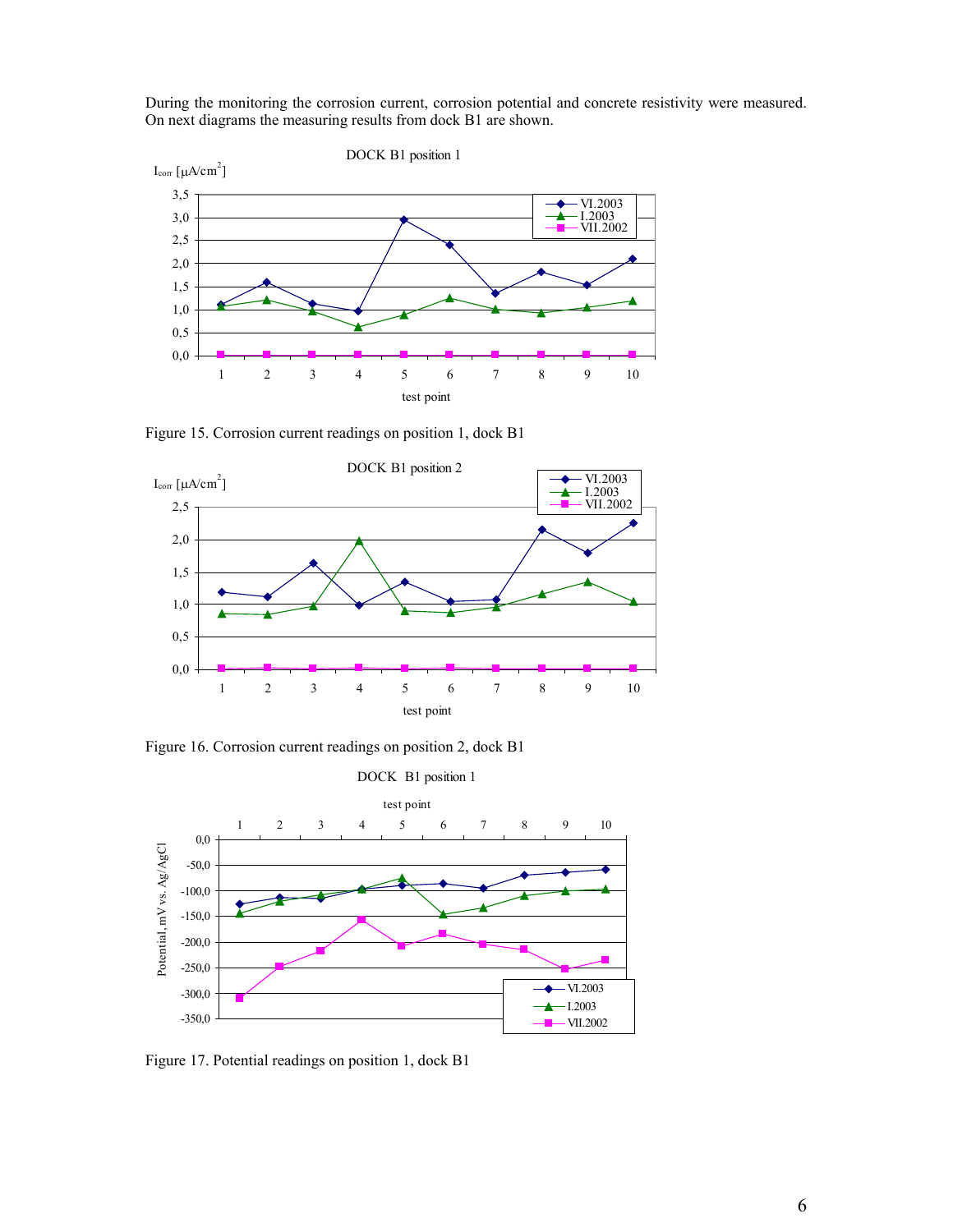During the monitoring the corrosion current, corrosion potential and concrete resistivity were measured. On next diagrams the measuring results from dock B1 are shown.



Figure 15. Corrosion current readings on position 1, dock B1



Figure 16. Corrosion current readings on position 2, dock B1



Figure 17. Potential readings on position 1, dock B1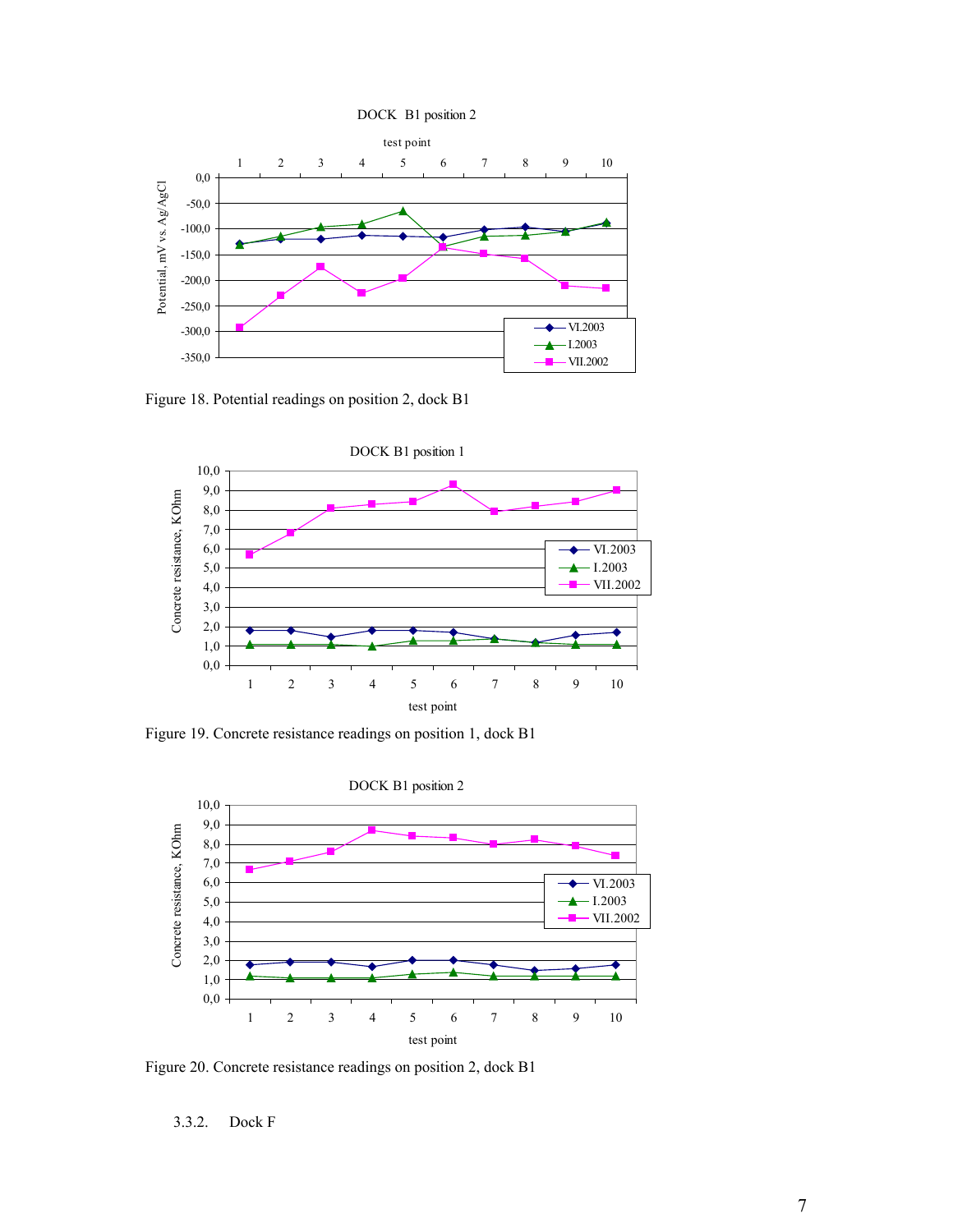DOCK B1 position 2



Figure 18. Potential readings on position 2, dock B1



Figure 19. Concrete resistance readings on position 1, dock B1



Figure 20. Concrete resistance readings on position 2, dock B1

3.3.2. Dock F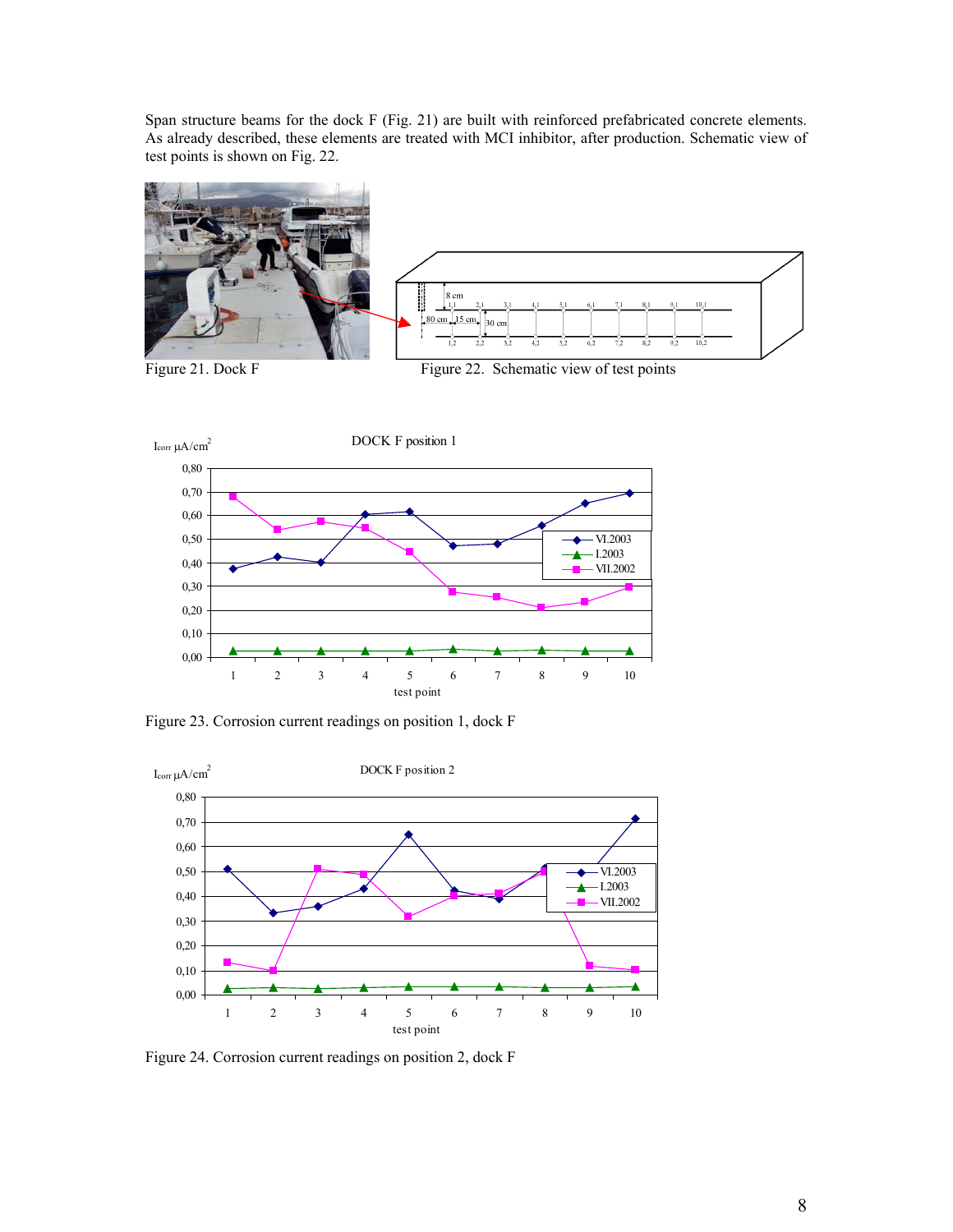Span structure beams for the dock F (Fig. 21) are built with reinforced prefabricated concrete elements. As already described, these elements are treated with MCI inhibitor, after production. Schematic view of test points is shown on Fig. 22.



Figure 21. Dock F Figure 22. Schematic view of test points



Figure 23. Corrosion current readings on position 1, dock F



Figure 24. Corrosion current readings on position 2, dock F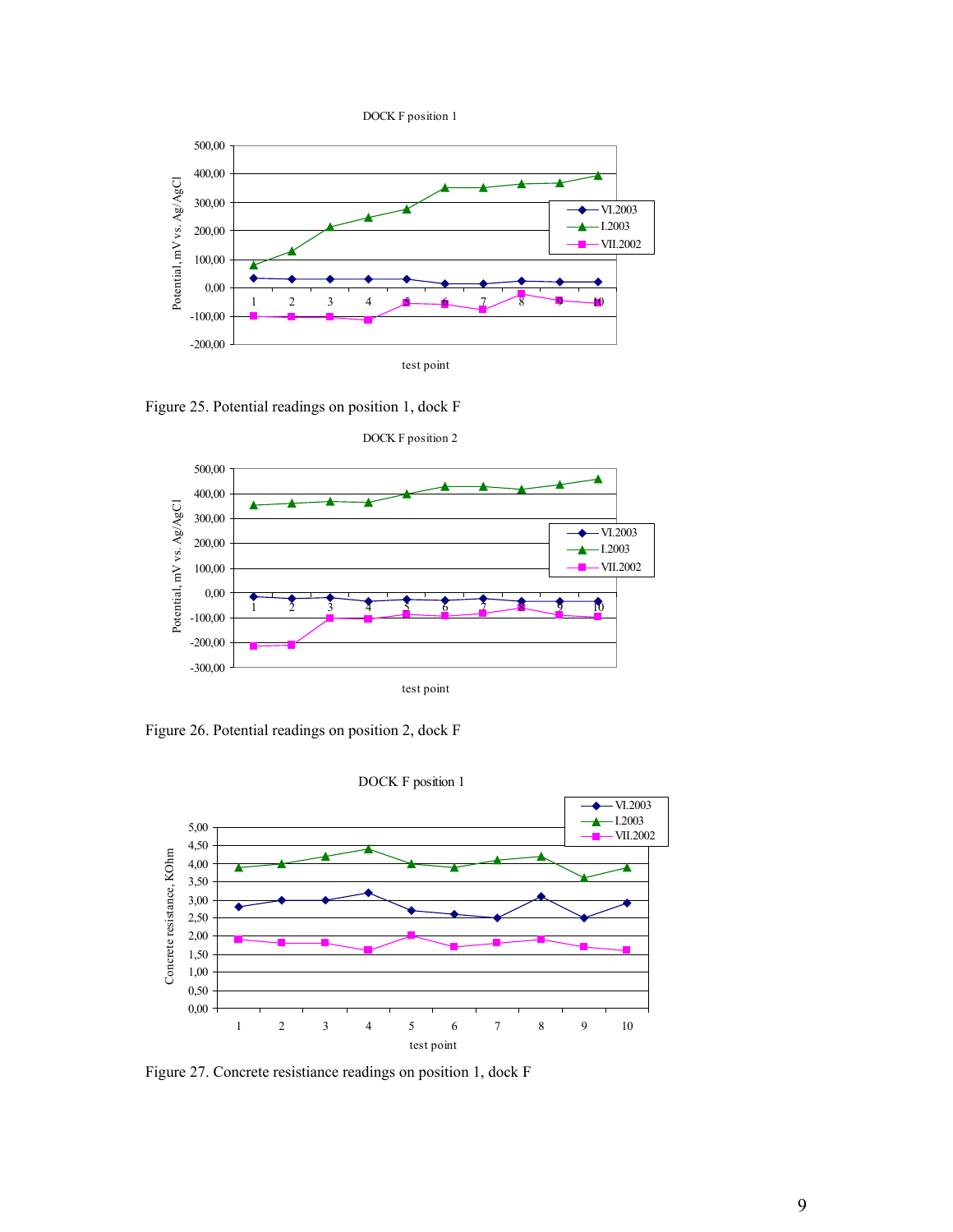



Figure 25. Potential readings on position 1, dock F



Figure 26. Potential readings on position 2, dock F



Figure 27. Concrete resistiance readings on position 1, dock F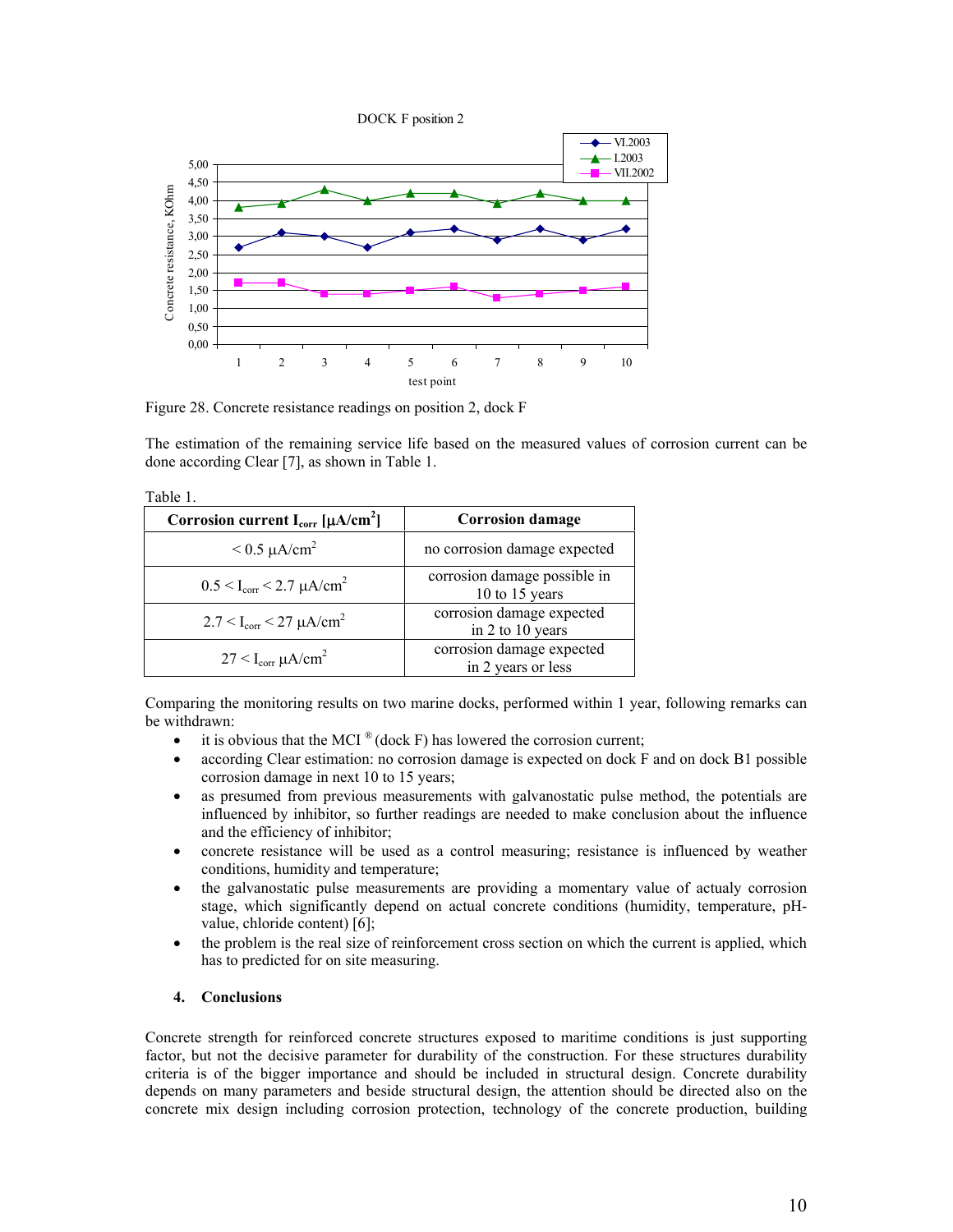

1 2 3 4 5 6 7 8 9 10 test point

Figure 28. Concrete resistance readings on position 2, dock F

0,00

Table 1.

The estimation of the remaining service life based on the measured values of corrosion current can be done according Clear [7], as shown in Table 1.

| ravio r.                                                 |                                                 |
|----------------------------------------------------------|-------------------------------------------------|
| Corrosion current $I_{corr}$ [ $\mu$ A/cm <sup>2</sup> ] | <b>Corrosion damage</b>                         |
| $< 0.5 \mu A/cm^2$                                       | no corrosion damage expected                    |
| $0.5 < I_{corr} < 2.7 \mu A/cm^2$                        | corrosion damage possible in<br>10 to 15 years  |
| $2.7 < I_{corr} < 27 \mu A/cm^2$                         | corrosion damage expected<br>in 2 to 10 years   |
| $27 < I_{corr} \mu A/cm^2$                               | corrosion damage expected<br>in 2 years or less |

Comparing the monitoring results on two marine docks, performed within 1 year, following remarks can be withdrawn:

- it is obvious that the MCI  $^{\circ\circ}$  (dock F) has lowered the corrosion current;
- according Clear estimation: no corrosion damage is expected on dock F and on dock B1 possible corrosion damage in next 10 to 15 years;
- as presumed from previous measurements with galvanostatic pulse method, the potentials are influenced by inhibitor, so further readings are needed to make conclusion about the influence and the efficiency of inhibitor;
- concrete resistance will be used as a control measuring; resistance is influenced by weather conditions, humidity and temperature;
- the galvanostatic pulse measurements are providing a momentary value of actualy corrosion stage, which significantly depend on actual concrete conditions (humidity, temperature, pHvalue, chloride content) [6];
- the problem is the real size of reinforcement cross section on which the current is applied, which has to predicted for on site measuring.

### **4. Conclusions**

Concrete strength for reinforced concrete structures exposed to maritime conditions is just supporting factor, but not the decisive parameter for durability of the construction. For these structures durability criteria is of the bigger importance and should be included in structural design. Concrete durability depends on many parameters and beside structural design, the attention should be directed also on the concrete mix design including corrosion protection, technology of the concrete production, building